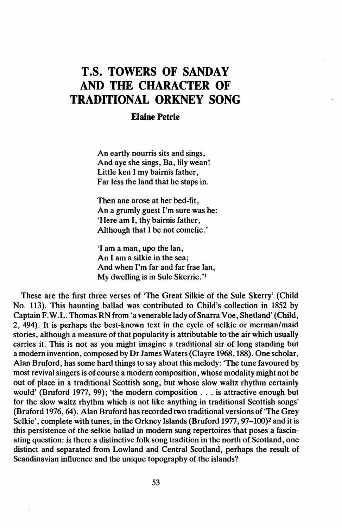## T.S. TOWERS OF SANDAY AND THE CHARACTER OF TRADITIONAL ORKNEY SONG

## Elaine Petrie

An eartly nourris sits and sings, And aye she sings, Ba, lily wean! Little ken I my bairnis father, Far less the land that he staps in.

Then ane arose at her bed-fit, An a grumly guest I'm sure was he: 'Here am I, thy bairnis father, Although that I be not comelie.'

'I am a man, upo the lan, An I am a silkie in the sea; And when I'm far and far frae lan, My dwelling is in Sule Skerrie.'1

These are the first three verses of 'The Great Silkie of the Sule Skerry' (Child No. 113). This haunting ballad was contributed to Child's coJlection in 1852 by Captain F.W.L. Thomas RN from 'a venerable lady of Snarra Voe, Shetland' (Child, 2, 494). It is perhaps the best-known text in the cycle of selkie or merman/maid stories, although a measure of that popularity is attributable to the air which usually carries it. This is not as you might imagine a traditional air of long standing but a modern invention, composed by Dr James Waters (Clayre 1968, 188). One scholar, Alan Bruford, has some hard things to say about this melody: 'The tune favoured by most revival singers is of course a modern composition, whose modality might not be out of place in a traditional Scottish song, but whose slow waltz rhythm certainly would' (Bruford 1977, 99); 'the modern composition ... is attractive enough but for the slow waltz rhythm which is not like anything in traditional Scottish songs' (Bruford 1976,64). Alan Bruford has recorded two traditional versions of 'The Grey Selkie', complete with tunes, in the Orkney Islands (Bruford 1977, 97-100)<sup>2</sup> and it is this persistence of the selkie ballad in modern sung repertoires that poses a fascinating question: is there a distinctive folk song tradition in the north of Scotland, one distinct and separated from Lowland and Central Scotland, perhaps the result of Scandinavian influence and the unique topography of the islands?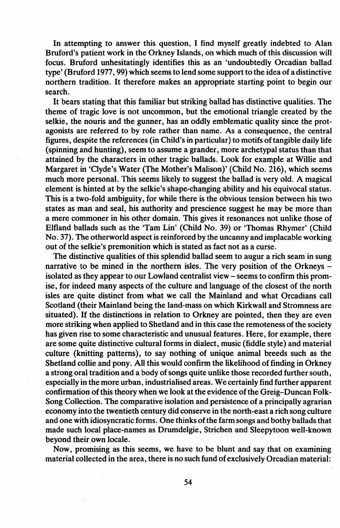In attempting to answer this question, I find myself greatly indebted to Alan Bruford's patient work in the Orkney Islands, on which much of this discussion will focus. Bruford unhesitatingly identifies this as an 'undoubtedly Orcadian ballad type' (Bruford 1977, 99) which seems to lend some support to the idea of a distinctive northern tradition. It therefore makes an appropriate starting point to begin our search.

It bears stating that this familiar but striking ballad has distinctive qualities. The theme of tragic love is not uncommon, but the emotional triangle created by the selkie, the nouris and the gunner, has an oddly emblematic quality since the protagonists are referred to by role rather than name. As a consequence, the central figures, despite the references (in Child's in particular) to motifs oftangible daily life (spinning and hunting), seem to assume a grander, more archetypal status than that attained by the characters in other tragic ballads. Look for example at Willie and Margaret in 'Clyde's Water (The Mother's Malison)' (Child No. 216), which seems much more personal. This seems likely to suggest the ballad is very old. A magical element is hinted at by the selkie's shape-changing ability and his equivocal status. This is a two-fold ambiguity, for while there is the obvious tension between his two states as man and seal, his authority and prescience suggest he may be more than a mere commoner in his other domain. This gives it resonances not unlike those of Elfland ballads such as the 'Tam Lin' (Child No. 39) or 'Thomas Rhymer' (Child No. 37). The otherworld aspect is reinforced by the uncanny and implacable working out of the selkie's premonition which is stated as fact not as a curse.

The distinctive qualities of this splendid ballad seem to augur a rich seam in sung narrative to be mined in the northern isles. The very position of the Orkneys isolated as they appear to our Lowland centralist view - seems to confirm this promise, for indeed many aspects of the culture and language of the closest of the north isles are quite distinct from what we call the Mainland and what Orcadians call Scotland (their Mainland being the land-mass on which Kirkwall and Stromness are situated). If the distinctions in relation to Orkney are pointed, then they are even more striking when applied to Shetland and in this case the remoteness of the society has given rise to some characteristic and unusual features. Here, for example, there are some quite distinctive cultural forms in dialect, music (fiddle style) and material culture (knitting patterns), to say nothing of unique animal breeds such as the Shetland collie and pony. All this would confirm the likelihood of finding in Orkney a strong oral tradition and a body of songs quite unlike those recorded further south, especially in the more urban, industrialised areas. We certainly find further apparent confirmation of this theory when we look at the evidence of the Greig-Duncan Folk-Song Collection. The comparative isolation and persistence of a principally agrarian economy into the twentieth century did conserve in the north-east a rich song culture and one with idiosyncratic forms. One thinks ofthe farm songs and bothy ballads that made such local place-names as Drumdelgie, Strichen and Sleepytoon well-known beyond their own locale.

Now, promising as this seems, we have to be blunt and say that on examining material collected in the area, there is no such fund of exclusively Orcadian material: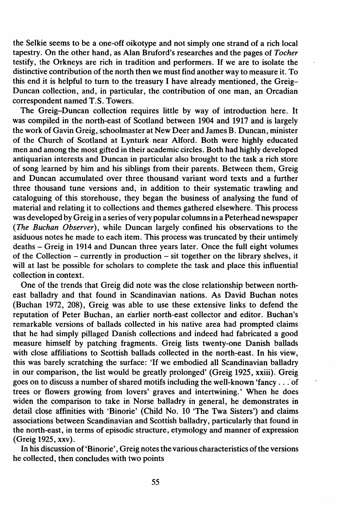the Selkie seems to be a one-off oikotype and not simply one strand of a rich local tapestry. On the other hand, as Alan Bruford's researches and the pages of *Tocher* testify, the Orkneys are rich in tradition and performers. If we are to isolate the distinctive contribution of the north then we must find another way to measure it. To this end it is helpful to turn to the treasury I have already mentioned, the Greig-Duncan collection, and, in particular, the contribution of one man, an Orcadian correspondent named T.S. Towers.

The Greig-Duncan collection requires little by way of introduction here. It was compiled in the north-east of Scotland between 1904 and 1917 and is largely the work of Gavin Greig, schoolmaster at New Deer and James B. Duncan, minister of the Church of Scotland at Lynturk near Alford. Both were highly educated men and among the most gifted in their academic circles. Both had highly developed antiquarian interests and Duncan in particular also brought to the task a rich store of song learned by him and his siblings from their parents. Between them, Greig and Duncan accumulated over three thousand variant word texts and a further three thousand tune versions and, in addition to their systematic trawling and cataloguing of this storehouse, they began the business of analysing the fund of material and relating it to collections and themes gathered elsewhere. This process was developed by Greig in a series of very popular columnsin a Peterhead newspaper *(The Buchan Observer),* while Duncan largely confined his observations to the asiduous notes he made to each item. This process was truncated by their untimely deaths - Greig in 1914 and Duncan three years later. Once the full eight volumes of the Collection - currently in production - sit together on the library shelves, it will at last be possible for scholars to complete the task and place this influential collection in context.

One of the trends that Greig did note was the close relationship between northeast balladry and that found in Scandinavian nations. As David Buchan notes (Buchan 1972, 208), Greig was able to use these extensive links to defend the reputation of Peter Buchan, an earlier north-east collector and editor. Buchan's remarkable versions of ballads collected in his native area had prompted claims that he had simply pillaged Danish collections and indeed had fabricated a good measure himself by patching fragments. Greig lists twenty-one Danish ballads with close affiliations to Scottish ballads collected in the north-east. In his view, this was barely scratching the surface: 'If we embodied all Scandinavian balladry in our comparison, the list would be greatly prolonged' (Greig 1925, xxiii). Greig goes on to discuss a number of shared motifs including the well-known 'fancy . . . of trees or flowers growing from lovers' graves and intertwining.' When he does widen the comparison to take in Norse balladry in general, he demonstrates in detail close affinities with 'Binorie' (Child No. 10 'The Twa Sisters') and claims associations between Scandinavian and Scottish balladry, particularly that found in the north-east, in terms of episodic structure, etymology and manner of expression (Greig 1925, xxv).

In his discussion of 'Binorie', Greig notes the various characteristics of the versions he collected, then concludes with two points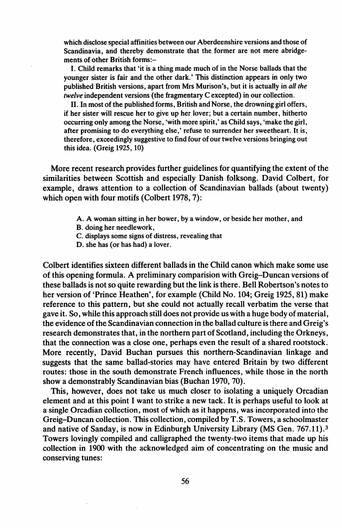which disclose special affinities between our Aberdeenshire versions and those of Scandinavia, and thereby demonstrate that the former are not mere abridgements of other British forms:-

I. Child remarks that 'it is a thing made much of in the Norse ballads that the younger sister is fair and the other dark.' This distinction appears in only two published British versions, apart from Mrs Murison's, but it is actually in *all the twelve* independent versions (the fragmentary C excepted) in our collection.

11. In most of the published forms, British and Norse, the drowning girl offers, if her sister will rescue her to give up her lover; but a certain number, hitherto occurring only among the Norse, 'with more spirit,' as Child says, 'make the girl, after promising to do everything else,' refuse to surrender her sweetheart. It is, therefore, exceedingly suggestive to find four ofour twelve versions bringing out this idea. (Greig 1925, 10)

More recent research provides further guidelines for quantifying the extent of the similarities between Scottish and especially Danish folksong. David Colbert, for example, draws attention to a collection of Scandinavian ballads (about twenty) which open with four motifs (Colbert 1978, 7):

- A. A woman sitting in her bower, by a window, or beside her mother, and
- B. doing her needlework,
- C. displays some signs of distress, revealing that
- D. she has (or has had) a lover.

Colbert identifies sixteen different ballads in the Child canon which make some use of this opening formula. A preliminary comparision with Greig-Duncan versions of these ballads is not so quite rewarding but the link is there. Bell Robertson's notes to her version of 'Prince Heathen', for example (Child No. 104; Greig 1925, 81) make reference to this pattern, but she could not actually recall verbatim the verse that gave it. So, while this approach still does not provide us with a huge body of material, the evidence ofthe Scandinavian connection in the ballad culture is there and Greig's research demonstrates that, in the northern part of Scotland, including the Orkneys, that the connection was a close one, perhaps even the result of a shared rootstock. More recently, David Buchan pursues this northern-Scandinavian linkage and suggests that the same ballad-stories may have entered Britain by two different routes: those in the south demonstrate French influences, while those in the north show a demonstrably Scandinavian bias (Buchan 1970, 70).

This, however, does not take us much closer to isolating a uniquely Orcadian element and at this point I want to strike a new tack. It is perhaps useful to look at a single Orcadian collection, most of which as it happens, was incorporated into the Greig-Duncan collection. This collection, compiled by T.S. Towers, a schoolmaster and native of Sanday, is now in Edinburgh University Library (MS Gen. 767.11).3 Towers lovingly compiled and calligraphed the twenty-two items that made up his collection in 1900 with the acknowledged aim of concentrating on the music and conserving tunes: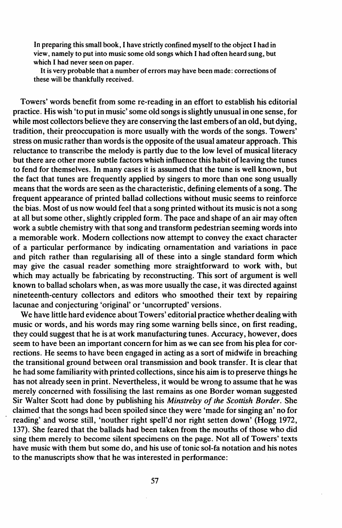In preparing this small book, I have strictly confined myself to the object I had in view, namely to put into music some old songs which I had often heard sung, but which I had never seen on paper.

It is very probable that a number of errors may have been made: corrections of these will be thankfully received.

Towers' words benefit from some re-reading in an effort to establish his editorial practice. His wish 'to put in music' some old songs isslightly unusual in one sense, for while most collectors believe they are conserving the last embers of an old, but dying, tradition, their preoccupation is more usually with the words of the songs. Towers' stress on music rather than words is the opposite of the usual amateur approach. This reluctance to transcribe the melody is partly due to the low level of musical literacy but there are other more subtle factors which influence this habit of leaving the tunes to fend for themselves. In many cases it is assumed that the tune is well known, but the fact that tunes are frequently applied by singers to more than one song usually means that the words are seen as the characteristic, defining elements of a song. The frequent appearance of printed ballad collections without music seems to reinforce the bias. Most of us now would feel that a song printed without its music is not a song at all but some other, slightly crippled form. The pace and shape of an air may often work a subtle chemistry with that song and transform pedestrian seeming words into a memorable work. Modern collections now attempt to convey the exact character of a particular performance by indicating ornamentation and variations in pace and pitch rather than regularising all of these into a single standard form which may give the casual reader something more straightforward to work with, but which may actually be fabricating by reconstructing. This sort of argument is well known to ballad scholars when, as was more usually the case, it was directed against nineteenth-century collectors and editors who smoothed their text by repairing lacunae and conjecturing 'original' or 'uncorrupted' versions.

We have little hard evidence about Towers' editorial practice whether dealing with music or words, and his words may ring some warning bells since, on first reading, they could suggest that he is at work manufacturing tunes. Accuracy, however, does seem to have been an important concern for him as we can see from his plea for corrections. He seems to have been engaged in acting as a sort of midwife in breaching the transitional ground between oral transmission and book transfer. It is clear that he had some familiarity with printed collections, since his aim is to preserve things he has not already seen in print. Nevertheless, it would be wrong to assume that he was merely concerned with fossilising the last remains as one Border woman suggested Sir Walter Scott had done by publishing his *Minstrelsy of the Scottish Border*. She claimed that the songs had been spoiled since they were 'made for singing an' no for reading' and worse still, 'nouther right spell'd nor right setten down' (Hogg 1972, 137). She feared that the ballads had been taken from the mouths of those who did sing them merely to become silent specimens on the page. Not all of Towers' texts have music with them but some do, and his use of tonic sol-fa notation and his notes to the manuscripts show that he was interested in performance: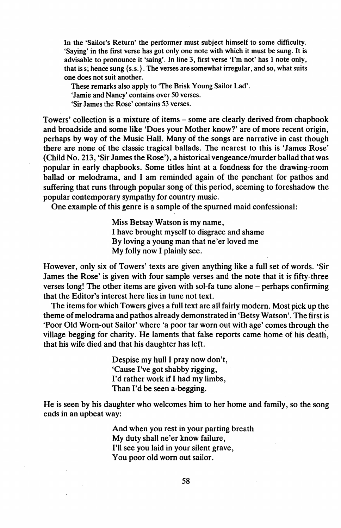In the 'Sailor's Return' the performer must subject himself to some difficulty. 'Saying' in the first verse has got only one note with which it must be sung. It is advisable to pronounce it 'saing'. In line 3, first verse 'I'm not' has 1 note only, that is s; hence sung {s.s.}. The verses are somewhat irregular, and so, what suits one does not suit another.

These remarks also apply to 'The Brisk Young Sailor Lad' . 'Jamie and Nancy' contains over 50 verses. 'Sir lames the Rose' contains 53 verses.

Towers' collection is a mixture of items - some are clearly derived from chapbook and broadside and some like 'Does your Mother know?' are of more recent origin, perhaps by way of the Music Hall. Many of the songs are narrative in cast though there are none of the classic tragical ballads. The nearest to this is 'lames Rose' (Child No. 213, 'Sir lames the Rose'), a historical vengeance/murder ballad that was popular in early chapbooks. Some titles hint at a fondness for the drawing-room ballad or melodrama, and I am reminded again of the penchant for pathos and suffering that runs through popular song of this period, seeming to foreshadow the popular contemporary sympathy for country music.

One example of this genre is a sample of the spurned maid confessional:

Miss Betsay Watson is my name, I have brought myself to disgrace and shame By loving a young man that ne'er loved me My folly now I plainly see.

However, only six of Towers' texts are given anything like a full set of words. 'Sir James the Rose' is given with four sample verses and the note that it is fifty-three verses long! The other items are given with sol-fa tune alone - perhaps confirming that the Editor's interest here lies in tune not text.

The items for which Towers gives a full text are all fairly modern. Most pick up the theme of melodrama and pathos already demonstrated in 'Betsy Watson'. The first is 'Poor Old Worn-out Sailor' where 'a poor tar worn out with age' comes through the village begging for charity. He laments that false reports came home of his death, that his wife died and that his daughter has left.

> Despise my hull I pray now don't, 'Cause I've got shabby rigging, I'd rather work if I had my limbs, Than I'd be seen a-begging.

He is seen by his daughter who welcomes him to her home and family, so the song ends in an upbeat way:

> And when you rest in your parting breath My duty shall ne'er know failure, I'll see you laid in your silent grave, You poor old worn out sailor.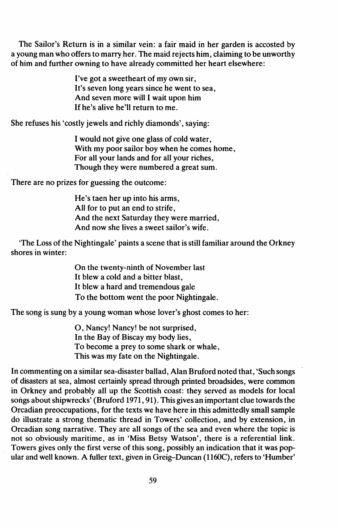The Sailor's Return is in a similar vein: a fair maid in her garden is accosted by a young man who offers to marry her. The maid rejects him, claiming to be unworthy of him and further owning to have already committed her heart elsewhere:

> I've got a sweetheart of my own sir, It's seven long years since he went to sea, And seven more will I wait upon him If he's alive he'll return to me.

She refuses his 'costly jewels and richly diamonds', saying:

I would not give one glass of cold water, With my poor sailor boy when he comes home, For all your lands and for all your riches, Though they were numbered a great sum.

There are no prizes for guessing the outcome:

He's taen her up into his arms, All for to put an end to strife, And the next Saturday they were married, And now she lives a sweet sailor's wife.

'The Loss of the Nightingale' paints a scene that is still familiar around the Orkney shores in winter:

> On the twenty-ninth of November last It blew a cold and a bitter blast, It blew a hard and tremendous gale To the bottom went the poor Nightingale.

The song is sung by a young woman whose lover's ghost comes to her:

0, Nancy! Nancy! be not surprised, In the Bay of Biscay my body lies, To become a prey to some shark or whale, This was my fate on the Nightingale.

In commenting on a similar sea-disaster ballad, Alan Bruford noted that, 'Such songs of disasters at sea, almost certainly spread through printed broadsides, were common in Orkney and probably all up the Scottish coast: they served as models for local songs about shipwrecks' (Bruford 1971, 91). This gives an important clue towards the Orcadian preoccupations, for the texts we have here in this admittedly small sample do illustrate a strong thematic thread in Towers' collection, and by extension, in Orcadian song narrative. They are all songs of the sea and even where the topic is not so obviously maritime, as in 'Miss Betsy Watson', there is a referential link. Towers gives only the first verse of this song, possibly an indication that it was popular and well known. A fuller text, given in Greig-Duncan (1160C), refers to 'Humber'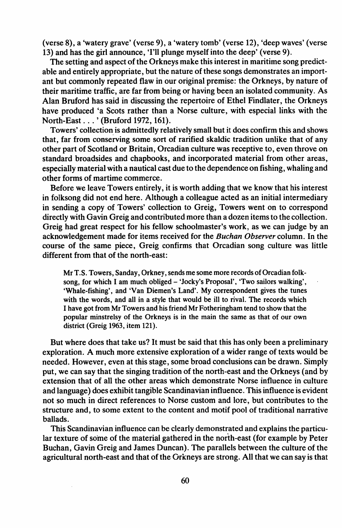(verse 8), a 'watery grave' (verse 9), a 'watery tomb' (verse 12), 'deep waves' (verse 13) and has the girl announce, 'I'll plunge myself into the deep' (verse 9).

The setting and aspect of the Orkneys make this interest in maritime song predictable and entirely appropriate, but the nature of these songs demonstrates an important but commonly repeated flaw in our original premise: the Orkneys, by nature of their maritime traffic, are far from being or having been an isolated community. As Alan Bruford has said in discussing the repertoire of Ethel Findlater, the Orkneys have produced 'a Scots rather than a Norse culture, with especial links with the North-East ... ' (Bruford 1972, 161).

Towers' collection is admittedly relatively small but it does confirm this and shows that, far from conserving some sort of rarified skaldic tradition unlike that of any other part of Scotland or Britain, Orcadian culture was receptive to, even throve on standard broadsides and chapbooks, and incorporated material from other areas, especially material with a nautical cast due to the dependence on fishing, whaling and other forms of martime commerce.

Before we leave Towers entirely, it is worth adding that we know that his interest in folksong did not end here. Although a colleague acted as an initial intermediary in sending a copy of Towers' collection to Greig, Towers went on to correspond directly with Gavin Greig and contributed more than a dozen itemsto the collection. Greig had great respect for his fellow schoolmaster's work, as we can judge by an acknowledgement made for items received for the *Buchan Observer* column. In the course of the same piece, Greig confirms that Orcadian song culture was little different from that of the north-east:

Mr T.S. Towers, Sanday, Orkney, sends me some more records of Orcadian folksong, for which I am much obliged - 'Jocky's Proposal', 'Two sailors walking', 'Whale-fishing', and 'Van Diemen's Land'. My correspondent gives the tunes with the words, and all in a style that would be ill to rival. The records which I have got from Mr Towers and hisfriend Mr Fotheringham tend to show that the popular minstrelsy of the Orkneys is in the main the same as that of our own district (Greig 1963, item 121).

But where does that take us? It must be said that this has only been a preliminary exploration. A much more extensive exploration of a wider range of texts would be needed. However, even at this stage, some broad conclusions can be drawn. Simply put, we can say that the singing tradition of the north-east and the Orkneys (and by extension that of all the other areas which demonstrate Norse influence in culture and language) does exhibit tangible Scandinavian influence. Thisinfluence is evident not so much in direct references to Norse custom and lore, but contributes to the structure and, to some extent to the content and motif pool of traditional narrative ballads.

This Scandinavian influence can be clearly demonstrated and explains the particular texture of some of the material gathered in the north-east (for example by Peter Buchan, Gavin Greig and James Duncan). The parallels between the culture of the agricultural north-east and that of the Orkneys are strong. All that we can say is that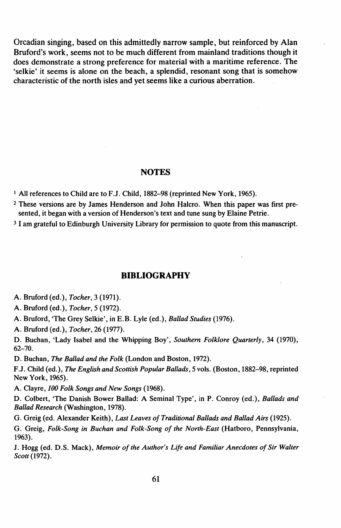Orcadian singing, based on this admittedly narrow sample, but reinforced by Alan Bruford's work, seems not to be much different from mainland traditions though it does demonstrate a strong preference for material with a maritime reference. The 'selkie' it seems is alone on the beach, a splendid, resonant song that is somehow characteristic of the north isles and yet seems like a curious aberration.

#### **NOTES**

<sup>1</sup> All references to Child are to F.J. Child, 1882-98 (reprinted New York, 1965).

<sup>2</sup> These versions are by James Henderson and John Halcro. When this paper was first presented, it began with a version of Henderson's text and tune sung by Elaine Petrie.

<sup>3</sup> I am grateful to Edinburgh University Library for permission to quote from this manuscript.

## **BIBLIOGRAPHY**

A. Bruford (ed.), *Tocher,* 3 (1971).

A. Bruford (ed.), *Tocher,* 5 (1972).

A. Bruford, 'The Grey Selkie', in E.B. Lyle (ed.), *Ballad Studies* (1976).

A. Bruford (ed.), *Tocher,* 26 (1977).

D. Buchan, 'Lady Isabel and the Whipping Boy', *Southern Folklore Quarterly,* 34 (1970), 62-70.

D. Buchan, *The Ballad and the Folk* (London and Boston, 1972).

F.J. Child (ed.), *The English and Scottish Popular Ballads,* 5 vols. (Boston, 1882-98, reprinted New York, 1965).

A. Clayre, *100 Folk Songs and New Songs* (1968).

D. Colbert, 'The Danish Bower Ballad: A Seminal Type', in P. Conroy (ed.), *Ballads and Ballad Research* (Washington, 1978).

G. Greig (ed. Alexander Keith), *Last Leaves of Traditional Ballads and Ballad Airs* (1925).

G. Greig, *Folk-Song in Buchan and Folk-Song of the North-East* (Hatboro, Pennsylvania, 1963).

J. Hogg (ed. D.S. Mack), *Memoir ofthe Author's Life and Familiar Anecdotes of Sir Waiter Scott* (1972).